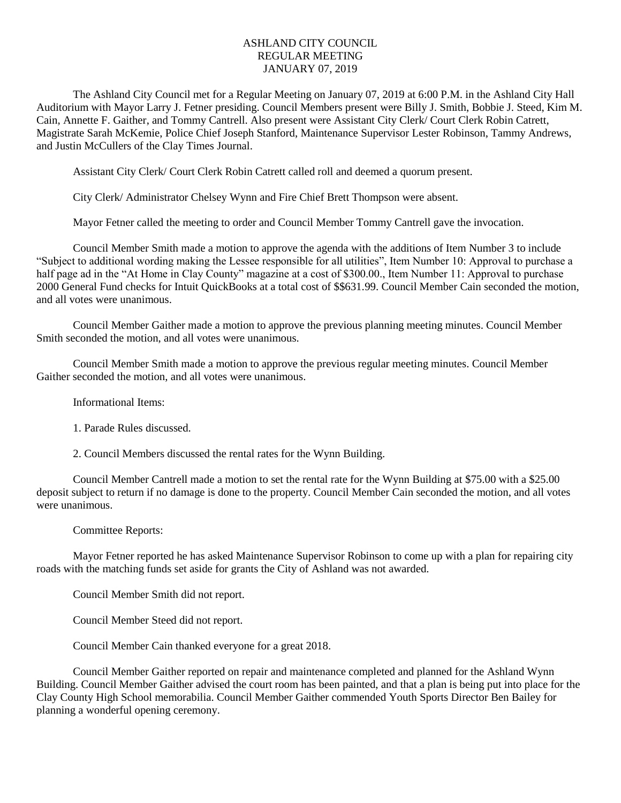## ASHLAND CITY COUNCIL REGULAR MEETING JANUARY 07, 2019

The Ashland City Council met for a Regular Meeting on January 07, 2019 at 6:00 P.M. in the Ashland City Hall Auditorium with Mayor Larry J. Fetner presiding. Council Members present were Billy J. Smith, Bobbie J. Steed, Kim M. Cain, Annette F. Gaither, and Tommy Cantrell. Also present were Assistant City Clerk/ Court Clerk Robin Catrett, Magistrate Sarah McKemie, Police Chief Joseph Stanford, Maintenance Supervisor Lester Robinson, Tammy Andrews, and Justin McCullers of the Clay Times Journal.

Assistant City Clerk/ Court Clerk Robin Catrett called roll and deemed a quorum present.

City Clerk/ Administrator Chelsey Wynn and Fire Chief Brett Thompson were absent.

Mayor Fetner called the meeting to order and Council Member Tommy Cantrell gave the invocation.

Council Member Smith made a motion to approve the agenda with the additions of Item Number 3 to include "Subject to additional wording making the Lessee responsible for all utilities", Item Number 10: Approval to purchase a half page ad in the "At Home in Clay County" magazine at a cost of \$300.00., Item Number 11: Approval to purchase 2000 General Fund checks for Intuit QuickBooks at a total cost of \$\$631.99. Council Member Cain seconded the motion, and all votes were unanimous.

Council Member Gaither made a motion to approve the previous planning meeting minutes. Council Member Smith seconded the motion, and all votes were unanimous.

Council Member Smith made a motion to approve the previous regular meeting minutes. Council Member Gaither seconded the motion, and all votes were unanimous.

Informational Items:

1. Parade Rules discussed.

2. Council Members discussed the rental rates for the Wynn Building.

Council Member Cantrell made a motion to set the rental rate for the Wynn Building at \$75.00 with a \$25.00 deposit subject to return if no damage is done to the property. Council Member Cain seconded the motion, and all votes were unanimous.

Committee Reports:

Mayor Fetner reported he has asked Maintenance Supervisor Robinson to come up with a plan for repairing city roads with the matching funds set aside for grants the City of Ashland was not awarded.

Council Member Smith did not report.

Council Member Steed did not report.

Council Member Cain thanked everyone for a great 2018.

Council Member Gaither reported on repair and maintenance completed and planned for the Ashland Wynn Building. Council Member Gaither advised the court room has been painted, and that a plan is being put into place for the Clay County High School memorabilia. Council Member Gaither commended Youth Sports Director Ben Bailey for planning a wonderful opening ceremony.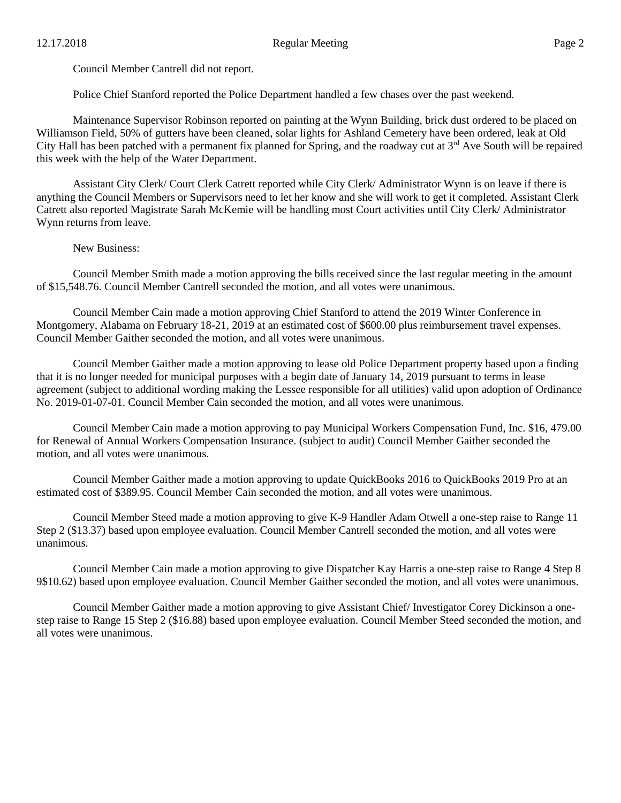Council Member Cantrell did not report.

Police Chief Stanford reported the Police Department handled a few chases over the past weekend.

Maintenance Supervisor Robinson reported on painting at the Wynn Building, brick dust ordered to be placed on Williamson Field, 50% of gutters have been cleaned, solar lights for Ashland Cemetery have been ordered, leak at Old City Hall has been patched with a permanent fix planned for Spring, and the roadway cut at  $3<sup>rd</sup>$  Ave South will be repaired this week with the help of the Water Department.

Assistant City Clerk/ Court Clerk Catrett reported while City Clerk/ Administrator Wynn is on leave if there is anything the Council Members or Supervisors need to let her know and she will work to get it completed. Assistant Clerk Catrett also reported Magistrate Sarah McKemie will be handling most Court activities until City Clerk/ Administrator Wynn returns from leave.

New Business:

Council Member Smith made a motion approving the bills received since the last regular meeting in the amount of \$15,548.76. Council Member Cantrell seconded the motion, and all votes were unanimous.

Council Member Cain made a motion approving Chief Stanford to attend the 2019 Winter Conference in Montgomery, Alabama on February 18-21, 2019 at an estimated cost of \$600.00 plus reimbursement travel expenses. Council Member Gaither seconded the motion, and all votes were unanimous.

Council Member Gaither made a motion approving to lease old Police Department property based upon a finding that it is no longer needed for municipal purposes with a begin date of January 14, 2019 pursuant to terms in lease agreement (subject to additional wording making the Lessee responsible for all utilities) valid upon adoption of Ordinance No. 2019-01-07-01. Council Member Cain seconded the motion, and all votes were unanimous.

Council Member Cain made a motion approving to pay Municipal Workers Compensation Fund, Inc. \$16, 479.00 for Renewal of Annual Workers Compensation Insurance. (subject to audit) Council Member Gaither seconded the motion, and all votes were unanimous.

Council Member Gaither made a motion approving to update QuickBooks 2016 to QuickBooks 2019 Pro at an estimated cost of \$389.95. Council Member Cain seconded the motion, and all votes were unanimous.

Council Member Steed made a motion approving to give K-9 Handler Adam Otwell a one-step raise to Range 11 Step 2 (\$13.37) based upon employee evaluation. Council Member Cantrell seconded the motion, and all votes were unanimous.

Council Member Cain made a motion approving to give Dispatcher Kay Harris a one-step raise to Range 4 Step 8 9\$10.62) based upon employee evaluation. Council Member Gaither seconded the motion, and all votes were unanimous.

Council Member Gaither made a motion approving to give Assistant Chief/ Investigator Corey Dickinson a onestep raise to Range 15 Step 2 (\$16.88) based upon employee evaluation. Council Member Steed seconded the motion, and all votes were unanimous.